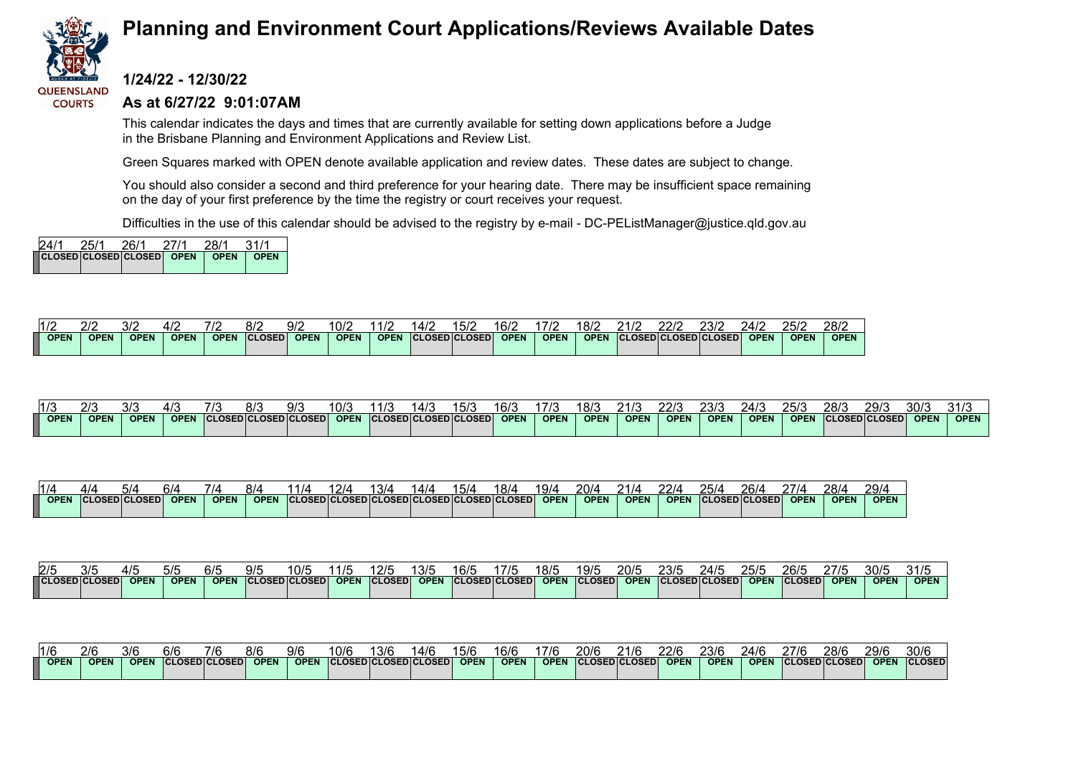

# **Planning and Environment Court Applications/Reviews Available Dates**

## **1/24/22 - 12/30/22**

### **As at 6/27/22 9:01:07AM**

This calendar indicates the days and times that are currently available for setting down applications before a Judge in the Brisbane Planning and Environment Applications and Review List.

Green Squares marked with OPEN denote available application and review dates. These dates are subject to change.

You should also consider a second and third preference for your hearing date. There may be insufficient space remaining on the day of your first preference by the time the registry or court receives your request.

Difficulties in the use of this calendar should be advised to the registry by e-mail - DC-PEListManager@justice.qld.gov.au

| 24/1                                | 25/1 26/1 27/1 28/1 |  | 31/1 |
|-------------------------------------|---------------------|--|------|
| CLOSED CLOSED CLOSED OPEN OPEN OPEN |                     |  |      |
|                                     |                     |  |      |

|             | 2/2         | 3/2         | 4/2         | 7/2         | 8/2           | 9/2         | 10/2        | 11/2 | 14/2               | 15/2 | 16/2        | 17/2        | 18/2        | 21/2                 | 22/2 | 23/2 | 24/2        | 25/2        | 28/2        |
|-------------|-------------|-------------|-------------|-------------|---------------|-------------|-------------|------|--------------------|------|-------------|-------------|-------------|----------------------|------|------|-------------|-------------|-------------|
| <b>OPEN</b> | <b>OPEN</b> | <b>OPEN</b> | <b>OPEN</b> | <b>OPEN</b> | <b>CLOSED</b> | <b>OPEN</b> | <b>OPEN</b> |      | OPEN CLOSED CLOSED |      | <b>OPEN</b> | <b>OPEN</b> | <b>OPEN</b> | CLOSED CLOSED CLOSED |      |      | <b>OPEN</b> | <b>OPEN</b> | <b>OPEN</b> |

| 1/3         | 2/3         | 3/3         | 4/3 | 7/3 | 8/3 | 9/3                       | 10/3        | 11/3                 | 14/3 | 15/3 | 16/3        | 17/3        | 18/3        | 21/3        | 22/3        | 23/3        | 24/3        | 25/3        | 28/3                 | 29/3 | 30/3        | 31/3        |
|-------------|-------------|-------------|-----|-----|-----|---------------------------|-------------|----------------------|------|------|-------------|-------------|-------------|-------------|-------------|-------------|-------------|-------------|----------------------|------|-------------|-------------|
| <b>OPEN</b> | <b>OPEN</b> | <b>OPEN</b> |     |     |     | OPEN CLOSED CLOSED CLOSED | <b>OPEN</b> | CLOSED CLOSED CLOSED |      |      | <b>OPEN</b> | <b>OPEN</b> | <b>OPEN</b> | <b>OPEN</b> | <b>OPEN</b> | <b>OPEN</b> | <b>OPEN</b> | <b>OPEN</b> | <b>CLOSED CLOSED</b> |      | <b>OPEN</b> | <b>OPEN</b> |

| 1/4  | 4/4                  | 5/4 | 614         | 714         | 8/4         | 11/4                                           | 12/4 | 13/4 | 14/4 | 15/4 | 18/4 | 19/4        | 20/4        | 21/4        | 22/4        | 25/4                 | 26/4 | ገ7/4        | 28/4        | 29/4        |
|------|----------------------|-----|-------------|-------------|-------------|------------------------------------------------|------|------|------|------|------|-------------|-------------|-------------|-------------|----------------------|------|-------------|-------------|-------------|
| OPEN | <b>CLOSED CLOSED</b> |     | <b>OPEN</b> | <b>OPEN</b> | <b>OPEN</b> | \  CLOSED CLOSED CLOSED CLOSED CLOSED CLOSED \ |      |      |      |      |      | <b>OPEN</b> | <b>OPEN</b> | <b>OPEN</b> | <b>OPEN</b> | <b>CLOSED CLOSED</b> |      | <b>OPEN</b> | <b>OPEN</b> | <b>OPEN</b> |

| 2/5                     | マル | 4/5         | 5/5         | 6/5         | 9/5                  | 10/5 | 11/5        | 12/5   | 13/5 | 16/5               | 17/5 | 18/5 | 19/5               | 20/5 | 23/5               | 24/5 | 25/5 | 26/5        | 27/5        | 30/5        | 31/5        |
|-------------------------|----|-------------|-------------|-------------|----------------------|------|-------------|--------|------|--------------------|------|------|--------------------|------|--------------------|------|------|-------------|-------------|-------------|-------------|
| <b>LICLOSEDICLOSEDI</b> |    | <b>OPEN</b> | <b>OPEN</b> | <b>OPEN</b> | <b>CLOSED CLOSED</b> |      | <b>OPEN</b> | CLOSED |      | OPEN CLOSED CLOSED |      |      | <b>OPEN CLOSED</b> |      | OPEN CLOSED CLOSED |      |      | OPEN CLOSED | <b>OPEN</b> | <b>OPEN</b> | <b>OPEN</b> |

| 1/6         | 2/6         | 3/6         | 6/6                  | 7/6 | 8/6         | 9/6 | 10/6                      | 13/6 | 14/6 | 15/6        | 16/6        | 17/6        | 20/6                 | 21/6 | 22/6        | 23/6        | 24/6        | 27/6                 | 28/6 | 29/6        | 30/6   |
|-------------|-------------|-------------|----------------------|-----|-------------|-----|---------------------------|------|------|-------------|-------------|-------------|----------------------|------|-------------|-------------|-------------|----------------------|------|-------------|--------|
| <b>OPEN</b> | <b>OPEN</b> | <b>OPEN</b> | <b>CLOSED CLOSED</b> |     | <b>OPEN</b> |     | OPEN CLOSED CLOSED CLOSED |      |      | <b>OPEN</b> | <b>OPEN</b> | <b>OPEN</b> | <b>CLOSED CLOSED</b> |      | <b>OPEN</b> | <b>OPEN</b> | <b>OPEN</b> | <b>CLOSED CLOSED</b> |      | <b>OPEN</b> | CLOSED |